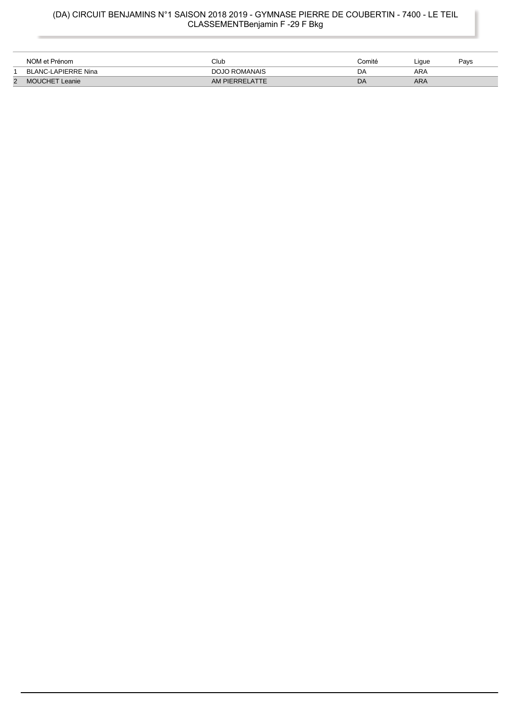### (DA) CIRCUIT BENJAMINS N°1 SAISON 2018 2019 - GYMNASE PIERRE DE COUBERTIN - 7400 - LE TEIL CLASSEMENTBenjamin F -29 F Bkg

|   | NOM et Prénom              | Club           | Comité | Liaue | Pavs |
|---|----------------------------|----------------|--------|-------|------|
|   | <b>BLANC-LAPIERRE Nina</b> | DOJO ROMANAIS  | D٨     | ARA   |      |
| 2 | <b>MOUCHET</b><br>Leanie   | AM PIERRELATTE | DA     | ARA   |      |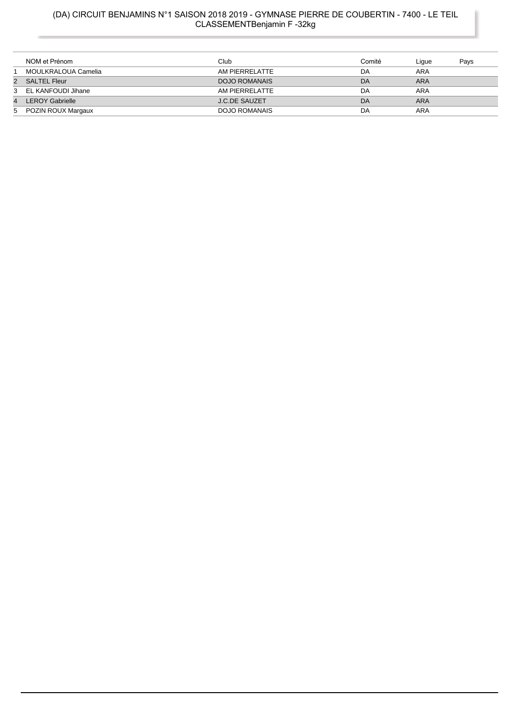### (DA) CIRCUIT BENJAMINS N°1 SAISON 2018 2019 - GYMNASE PIERRE DE COUBERTIN - 7400 - LE TEIL CLASSEMENTBenjamin F -32kg

|                | NOM et Prénom          | Club                 | Comité | Lique | Pays |
|----------------|------------------------|----------------------|--------|-------|------|
|                | MOULKRALOUA Camelia    | AM PIERRELATTE       | DA     | ARA   |      |
| $\overline{2}$ | SALTEL Fleur           | <b>DOJO ROMANAIS</b> | DA     | ARA   |      |
|                | 3 EL KANFOUDI Jihane   | AM PIERRELATTE       | DA     | ARA   |      |
| $\overline{4}$ | <b>LEROY Gabrielle</b> | <b>J.C.DE SAUZET</b> | DA     | ARA   |      |
|                | 5 POZIN ROUX Margaux   | DOJO ROMANAIS        | DA     | ARA   |      |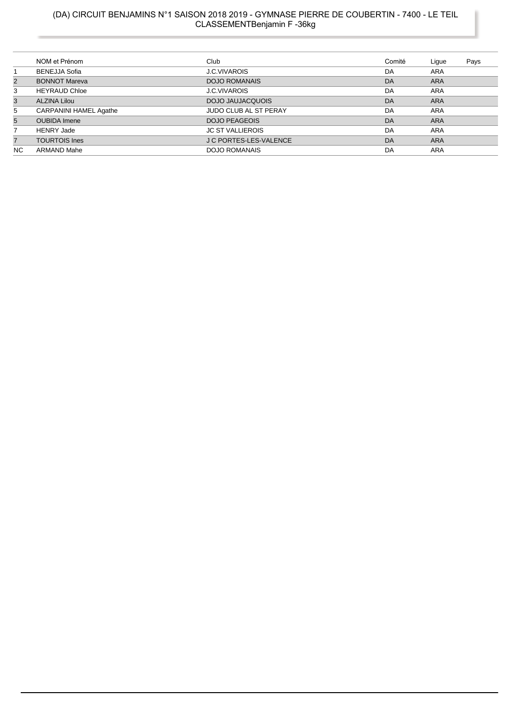# (DA) CIRCUIT BENJAMINS N°1 SAISON 2018 2019 - GYMNASE PIERRE DE COUBERTIN - 7400 - LE TEIL<br>CLASSEMENTBenjamin F -36kg

|                | NOM et Prénom                 | Club                          | Comité | Ligue      | Pays |
|----------------|-------------------------------|-------------------------------|--------|------------|------|
|                | <b>BENEJJA Sofia</b>          | J.C.VIVAROIS                  | DA     | <b>ARA</b> |      |
| $\overline{2}$ | <b>BONNOT Mareva</b>          | <b>DOJO ROMANAIS</b>          | DA     | <b>ARA</b> |      |
| 3              | <b>HEYRAUD Chloe</b>          | J.C.VIVAROIS                  | DA     | <b>ARA</b> |      |
| 3              | <b>ALZINA Lilou</b>           | <b>DOJO JAUJACQUOIS</b>       | DA     | <b>ARA</b> |      |
| 5              | <b>CARPANINI HAMEL Agathe</b> | JUDO CLUB AL ST PERAY         | DA     | <b>ARA</b> |      |
| $5^{\circ}$    | <b>OUBIDA</b> Imene           | <b>DOJO PEAGEOIS</b>          | DA     | <b>ARA</b> |      |
| 7              | <b>HENRY Jade</b>             | <b>JC ST VALLIEROIS</b>       | DA     | <b>ARA</b> |      |
| $\overline{7}$ | <b>TOURTOIS Ines</b>          | <b>J C PORTES-LES-VALENCE</b> | DA     | <b>ARA</b> |      |
| <b>NC</b>      | <b>ARMAND Mahe</b>            | <b>DOJO ROMANAIS</b>          | DA     | <b>ARA</b> |      |
|                |                               |                               |        |            |      |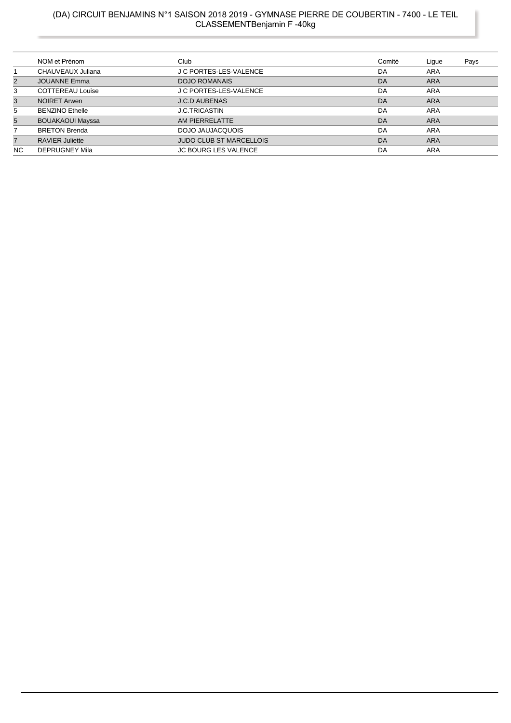# (DA) CIRCUIT BENJAMINS N°1 SAISON 2018 2019 - GYMNASE PIERRE DE COUBERTIN - 7400 - LE TEIL<br>CLASSEMENTBenjamin F -40kg

|                | NOM et Prénom           | Club                           | Comité | Lique      | Pays |
|----------------|-------------------------|--------------------------------|--------|------------|------|
|                | CHAUVEAUX Juliana       | J C PORTES-LES-VALENCE         | DA     | <b>ARA</b> |      |
| 2              | <b>JOUANNE Emma</b>     | <b>DOJO ROMANAIS</b>           | DA     | <b>ARA</b> |      |
| 3              | <b>COTTEREAU Louise</b> | J C PORTES-LES-VALENCE         | DA     | <b>ARA</b> |      |
| 3              | <b>NOIRET Arwen</b>     | <b>J.C.D AUBENAS</b>           | DA     | <b>ARA</b> |      |
| 5              | <b>BENZINO Ethelle</b>  | <b>J.C.TRICASTIN</b>           | DA     | ARA        |      |
| 5              | <b>BOUAKAOUI Mayssa</b> | AM PIERRELATTE                 | DA     | <b>ARA</b> |      |
|                | <b>BRETON Brenda</b>    | DOJO JAUJACQUOIS               | DA     | <b>ARA</b> |      |
| $\overline{7}$ | <b>RAVIER Juliette</b>  | <b>JUDO CLUB ST MARCELLOIS</b> | DA     | <b>ARA</b> |      |
| NC.            | <b>DEPRUGNEY Mila</b>   | <b>JC BOURG LES VALENCE</b>    | DA     | ARA        |      |
|                |                         |                                |        |            |      |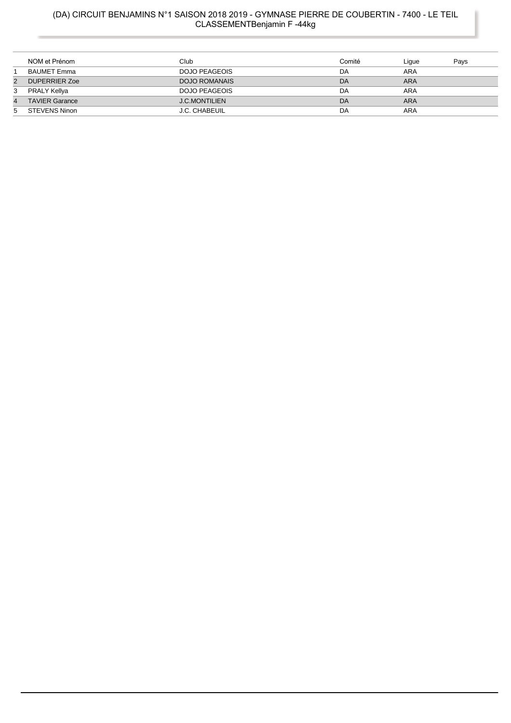# (DA) CIRCUIT BENJAMINS N°1 SAISON 2018 2019 - GYMNASE PIERRE DE COUBERTIN - 7400 - LE TEIL<br>CLASSEMENTBenjamin F -44kg

|                | NOM et Prénom         | Club                 | Comité | Lique      | Pays |
|----------------|-----------------------|----------------------|--------|------------|------|
|                | <b>BAUMET Emma</b>    | DOJO PEAGEOIS        | DA     | ARA        |      |
| $\overline{2}$ | <b>DUPERRIER Zoe</b>  | DOJO ROMANAIS        | DA     | <b>ARA</b> |      |
| 3              | PRALY Kellya          | DOJO PEAGEOIS        | DA     | ARA        |      |
| $\overline{4}$ | <b>TAVIER Garance</b> | <b>J.C.MONTILIEN</b> | DA     | <b>ARA</b> |      |
| 5              | STEVENS Ninon         | J.C. CHABEUIL        | DA     | ARA        |      |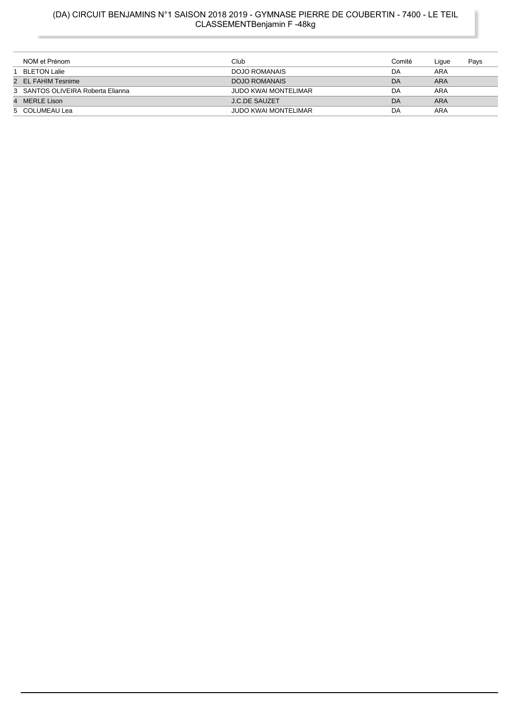# (DA) CIRCUIT BENJAMINS N°1 SAISON 2018 2019 - GYMNASE PIERRE DE COUBERTIN - 7400 - LE TEIL<br>CLASSEMENTBenjamin F -48kg

| NOM et Prénom                     | Club                        | Comité | Ligue      | Pays |
|-----------------------------------|-----------------------------|--------|------------|------|
| BLETON Lalie                      | DOJO ROMANAIS               | DA     | ARA        |      |
| 2 EL FAHIM Tesnime                | <b>DOJO ROMANAIS</b>        | DA     | <b>ARA</b> |      |
| 3 SANTOS OLIVEIRA Roberta Elianna | <b>JUDO KWAI MONTELIMAR</b> | DA     | ARA        |      |
| 4 MERLE Lison                     | <b>J.C.DE SAUZET</b>        | DA     | <b>ARA</b> |      |
| 5 COLUMEAU Lea                    | <b>JUDO KWAI MONTELIMAR</b> | DA     | ARA        |      |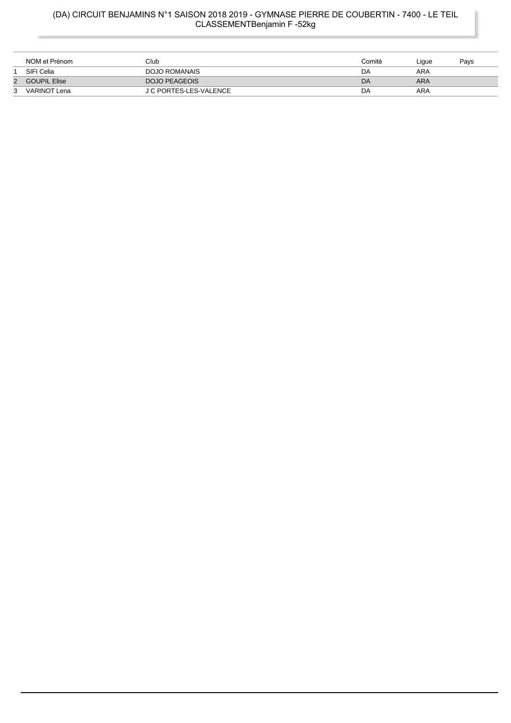# (DA) CIRCUIT BENJAMINS N°1 SAISON 2018 2019 - GYMNASE PIERRE DE COUBERTIN - 7400 - LE TEIL<br>CLASSEMENTBenjamin F -52kg

|   | NOM et Prénom       | Club                   | Comité | ∟igue | Pavs |
|---|---------------------|------------------------|--------|-------|------|
|   | SIFI Celia          | DOJO ROMANAIS          | DA     | ARA   |      |
| 2 | <b>GOUPIL Elise</b> | DOJO PEAGEOIS          | DA     | ARA   |      |
| 3 | <b>VARINOT Lena</b> | J C PORTES-LES-VALENCE | DA     | ARA   |      |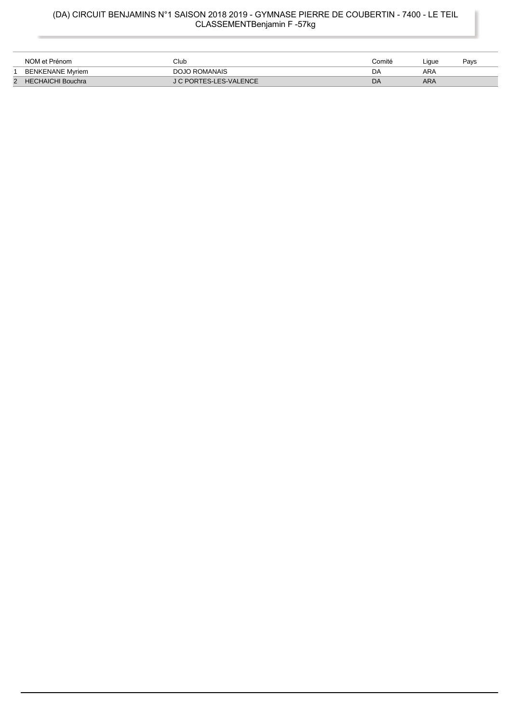### (DA) CIRCUIT BENJAMINS N°1 SAISON 2018 2019 - GYMNASE PIERRE DE COUBERTIN - 7400 - LE TEIL CLASSEMENTBenjamin F -57kg

| NOM et Prénom            | Club                   | Comité | Liaue | Pavs |
|--------------------------|------------------------|--------|-------|------|
| <b>BENKENANE Myriem</b>  | <b>DOJO ROMANAIS</b>   | DA     | ARA   |      |
| <b>HECHAICHI Bouchra</b> | J C PORTES-LES-VALENCE | DA     | ARA   |      |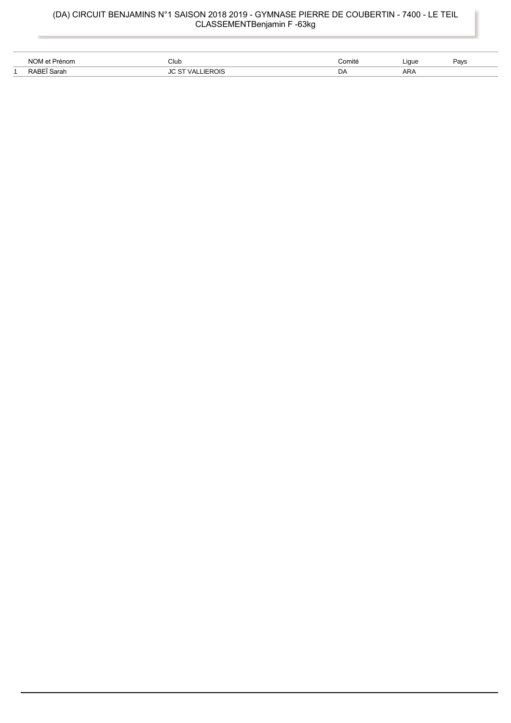# (DA) CIRCUIT BENJAMINS N°1 SAISON 2018 2019 - GYMNASE PIERRE DE COUBERTIN - 7400 - LE TEIL<br>CLASSEMENTBenjamin F -63kg

| ี<br>N∩\              | Club | `omité<br>$\cdots$ | Liaue | יavs |
|-----------------------|------|--------------------|-------|------|
| $\sim$ $\sim$<br>alar | ωï   | DA                 | ARA   |      |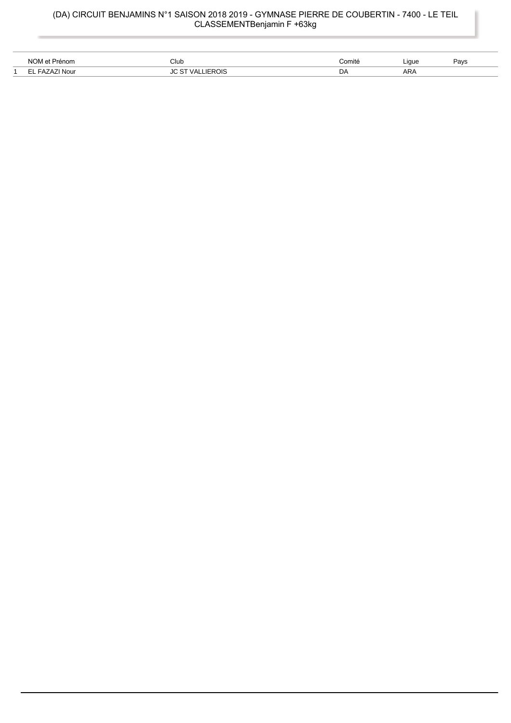#### (DA) CIRCUIT BENJAMINS N°1 SAISON 2018 2019 - GYMNASE PIERRE DE COUBERTIN - 7400 - LE TEIL CLASSEMENTBenjamin F +63kg

| NOM<br>Prénom | Club                   | Comité | Liaue<br>.    | $\sum$<br>avs |
|---------------|------------------------|--------|---------------|---------------|
| Nour          | ™ROIS<br>78 I<br>_____ | DΆ     | $\sim$<br>ARA |               |

 $\overline{a}$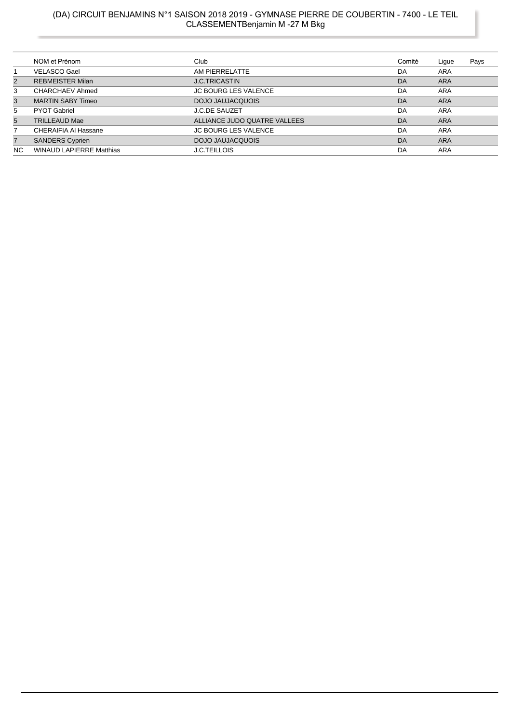### (DA) CIRCUIT BENJAMINS N°1 SAISON 2018 2019 - GYMNASE PIERRE DE COUBERTIN - 7400 - LE TEIL CLASSEMENTBenjamin M -27 M Bkg

|                | NOM et Prénom                   | Club                         | Comité | Lique      | Pays |
|----------------|---------------------------------|------------------------------|--------|------------|------|
|                | <b>VELASCO Gael</b>             | AM PIERRELATTE               | DA     | ARA        |      |
| 2              | <b>REBMEISTER Milan</b>         | <b>J.C.TRICASTIN</b>         | DA     | ARA        |      |
| 3              | CHARCHAEV Ahmed                 | <b>JC BOURG LES VALENCE</b>  | DA     | ARA        |      |
| 3              | <b>MARTIN SABY Timeo</b>        | DOJO JAUJACQUOIS             | DA     | <b>ARA</b> |      |
| 5              | <b>PYOT Gabriel</b>             | <b>J.C.DE SAUZET</b>         | DA     | ARA        |      |
| 5              | <b>TRILLEAUD Mae</b>            | ALLIANCE JUDO QUATRE VALLEES | DA     | <b>ARA</b> |      |
|                | <b>CHERAIFIA AI Hassane</b>     | <b>JC BOURG LES VALENCE</b>  | DA     | ARA        |      |
| $\overline{7}$ | <b>SANDERS Cyprien</b>          | DOJO JAUJACQUOIS             | DA     | <b>ARA</b> |      |
| <b>NC</b>      | <b>WINAUD LAPIERRE Matthias</b> | <b>J.C.TEILLOIS</b>          | DA     | ARA        |      |
|                |                                 |                              |        |            |      |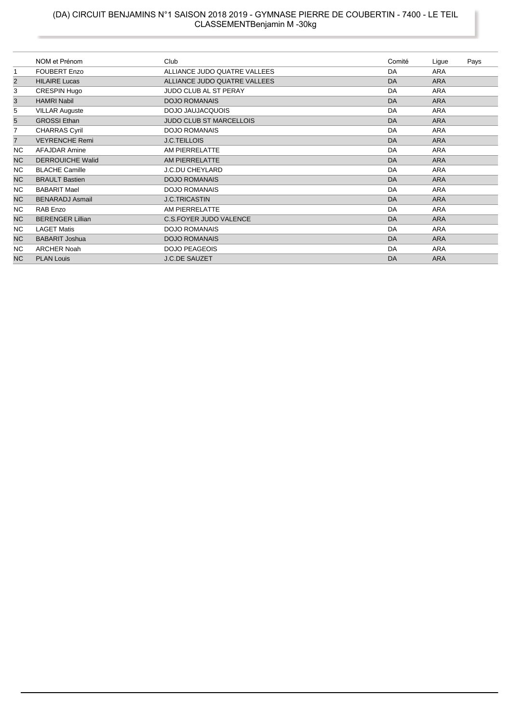# (DA) CIRCUIT BENJAMINS N°1 SAISON 2018 2019 - GYMNASE PIERRE DE COUBERTIN - 7400 - LE TEIL<br>CLASSEMENTBenjamin M -30kg

|                | NOM et Prénom           | Club                           | Comité | Ligue      | Pays |
|----------------|-------------------------|--------------------------------|--------|------------|------|
| $\mathbf{1}$   | <b>FOUBERT Enzo</b>     | ALLIANCE JUDO QUATRE VALLEES   | DA     | <b>ARA</b> |      |
| $\overline{2}$ | <b>HILAIRE Lucas</b>    | ALLIANCE JUDO QUATRE VALLEES   | DA     | <b>ARA</b> |      |
| 3              | CRESPIN Hugo            | <b>JUDO CLUB AL ST PERAY</b>   | DA     | <b>ARA</b> |      |
| 3              | <b>HAMRI Nabil</b>      | <b>DOJO ROMANAIS</b>           | DA     | <b>ARA</b> |      |
| 5              | <b>VILLAR Auguste</b>   | DOJO JAUJACQUOIS               | DA     | <b>ARA</b> |      |
| 5              | <b>GROSSI</b> Ethan     | <b>JUDO CLUB ST MARCELLOIS</b> | DA     | <b>ARA</b> |      |
| $\overline{7}$ | <b>CHARRAS Cyril</b>    | <b>DOJO ROMANAIS</b>           | DA     | <b>ARA</b> |      |
| $\overline{7}$ | <b>VEYRENCHE Remi</b>   | <b>J.C.TEILLOIS</b>            | DA     | <b>ARA</b> |      |
| NC.            | <b>AFAJDAR Amine</b>    | AM PIERRELATTE                 | DA     | <b>ARA</b> |      |
| <b>NC</b>      | <b>DERROUICHE Walid</b> | AM PIERRELATTE                 | DA     | <b>ARA</b> |      |
| NC.            | <b>BLACHE Camille</b>   | J.C.DU CHEYLARD                | DA     | <b>ARA</b> |      |
| NC             | <b>BRAULT Bastien</b>   | <b>DOJO ROMANAIS</b>           | DA     | <b>ARA</b> |      |
| NC.            | <b>BABARIT Mael</b>     | <b>DOJO ROMANAIS</b>           | DA     | <b>ARA</b> |      |
| <b>NC</b>      | <b>BENARADJ Asmail</b>  | <b>J.C.TRICASTIN</b>           | DA     | <b>ARA</b> |      |
| NC             | RAB Enzo                | AM PIERRELATTE                 | DA     | <b>ARA</b> |      |
| <b>NC</b>      | <b>BERENGER Lillian</b> | <b>C.S.FOYER JUDO VALENCE</b>  | DA     | <b>ARA</b> |      |
| NC.            | <b>LAGET Matis</b>      | <b>DOJO ROMANAIS</b>           | DA     | <b>ARA</b> |      |
| <b>NC</b>      | <b>BABARIT Joshua</b>   | <b>DOJO ROMANAIS</b>           | DA     | <b>ARA</b> |      |
| NC.            | <b>ARCHER Noah</b>      | <b>DOJO PEAGEOIS</b>           | DA     | <b>ARA</b> |      |
| <b>NC</b>      | <b>PLAN Louis</b>       | <b>J.C.DE SAUZET</b>           | DA     | <b>ARA</b> |      |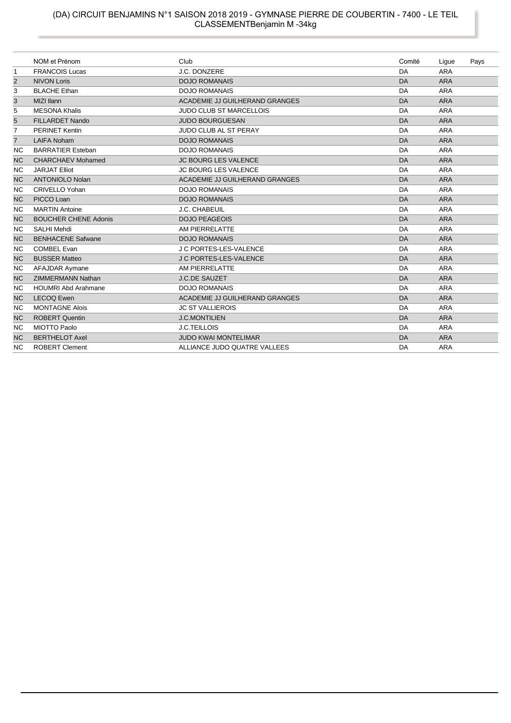# (DA) CIRCUIT BENJAMINS N°1 SAISON 2018 2019 - GYMNASE PIERRE DE COUBERTIN - 7400 - LE TEIL<br>CLASSEMENTBenjamin M -34kg

|                | NOM et Prénom               | Club                           | Comité | Ligue      | Pays |
|----------------|-----------------------------|--------------------------------|--------|------------|------|
| $\mathbf 1$    | <b>FRANCOIS Lucas</b>       | J.C. DONZERE                   | DA     | <b>ARA</b> |      |
| 2              | <b>NIVON Loris</b>          | <b>DOJO ROMANAIS</b>           | DA     | <b>ARA</b> |      |
| 3              | <b>BLACHE Ethan</b>         | <b>DOJO ROMANAIS</b>           | DA     | <b>ARA</b> |      |
| 3              | MIZI Ilann                  | ACADEMIE JJ GUILHERAND GRANGES | DA     | <b>ARA</b> |      |
| 5              | <b>MESONA Khalis</b>        | <b>JUDO CLUB ST MARCELLOIS</b> | DA     | <b>ARA</b> |      |
| 5              | <b>FILLARDET Nando</b>      | <b>JUDO BOURGUESAN</b>         | DA     | <b>ARA</b> |      |
| $\overline{7}$ | <b>PERINET Kentin</b>       | <b>JUDO CLUB AL ST PERAY</b>   | DA     | <b>ARA</b> |      |
| $\overline{7}$ | <b>LAIFA Noham</b>          | <b>DOJO ROMANAIS</b>           | DA     | <b>ARA</b> |      |
| ΝC             | <b>BARRATIER Esteban</b>    | <b>DOJO ROMANAIS</b>           | DA     | <b>ARA</b> |      |
| <b>NC</b>      | <b>CHARCHAEV Mohamed</b>    | <b>JC BOURG LES VALENCE</b>    | DA     | <b>ARA</b> |      |
| NC             | <b>JARJAT Elliot</b>        | <b>JC BOURG LES VALENCE</b>    | DA     | <b>ARA</b> |      |
| <b>NC</b>      | <b>ANTONIOLO Nolan</b>      | ACADEMIE JJ GUILHERAND GRANGES | DA     | <b>ARA</b> |      |
| <b>NC</b>      | <b>CRIVELLO Yohan</b>       | <b>DOJO ROMANAIS</b>           | DA     | <b>ARA</b> |      |
| <b>NC</b>      | PICCO Loan                  | <b>DOJO ROMANAIS</b>           | DA     | <b>ARA</b> |      |
| <b>NC</b>      | <b>MARTIN Antoine</b>       | J.C. CHABEUIL                  | DA     | ARA        |      |
| <b>NC</b>      | <b>BOUCHER CHENE Adonis</b> | <b>DOJO PEAGEOIS</b>           | DA     | <b>ARA</b> |      |
| <b>NC</b>      | <b>SALHI Mehdi</b>          | AM PIERRELATTE                 | DA     | <b>ARA</b> |      |
| <b>NC</b>      | <b>BENHACENE Safwane</b>    | <b>DOJO ROMANAIS</b>           | DA     | <b>ARA</b> |      |
| <b>NC</b>      | <b>COMBEL Evan</b>          | J C PORTES-LES-VALENCE         | DA     | <b>ARA</b> |      |
| <b>NC</b>      | <b>BUSSER Matteo</b>        | <b>J C PORTES-LES-VALENCE</b>  | DA     | <b>ARA</b> |      |
| <b>NC</b>      | AFAJDAR Aymane              | AM PIERRELATTE                 | DA     | <b>ARA</b> |      |
| <b>NC</b>      | <b>ZIMMERMANN Nathan</b>    | <b>J.C.DE SAUZET</b>           | DA     | <b>ARA</b> |      |
| NC             | <b>HOUMRI Abd Arahmane</b>  | <b>DOJO ROMANAIS</b>           | DA     | <b>ARA</b> |      |
| <b>NC</b>      | <b>LECOQ Ewen</b>           | ACADEMIE JJ GUILHERAND GRANGES | DA     | <b>ARA</b> |      |
| NC             | <b>MONTAGNE Alois</b>       | <b>JC ST VALLIEROIS</b>        | DA     | <b>ARA</b> |      |
| <b>NC</b>      | <b>ROBERT Quentin</b>       | <b>J.C.MONTILIEN</b>           | DA     | <b>ARA</b> |      |
| <b>NC</b>      | MIOTTO Paolo                | <b>J.C.TEILLOIS</b>            | DA     | <b>ARA</b> |      |
| <b>NC</b>      | <b>BERTHELOT Axel</b>       | <b>JUDO KWAI MONTELIMAR</b>    | DA     | <b>ARA</b> |      |
| <b>NC</b>      | <b>ROBERT Clement</b>       | ALLIANCE JUDO QUATRE VALLEES   | DA     | <b>ARA</b> |      |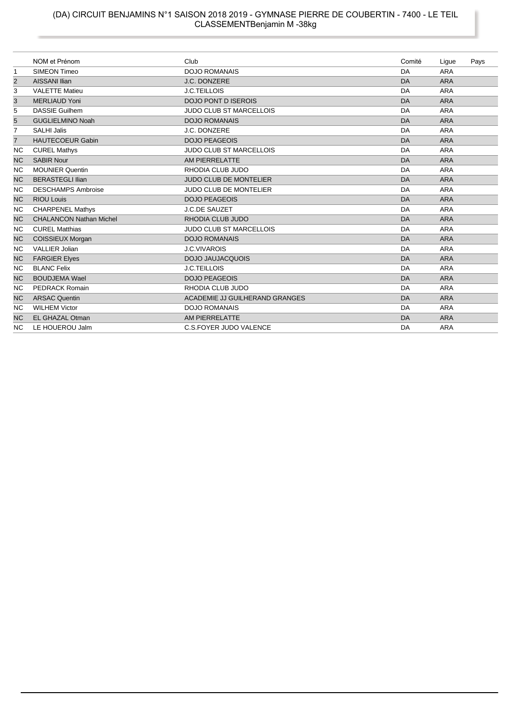# (DA) CIRCUIT BENJAMINS N°1 SAISON 2018 2019 - GYMNASE PIERRE DE COUBERTIN - 7400 - LE TEIL<br>CLASSEMENTBenjamin M -38kg

|                |                                |                                |           | Ligue      | Pays |
|----------------|--------------------------------|--------------------------------|-----------|------------|------|
| 1              | <b>SIMEON Timeo</b>            | <b>DOJO ROMANAIS</b>           | DA        | <b>ARA</b> |      |
| $\overline{2}$ | <b>AISSANI Ilian</b>           | J.C. DONZERE                   | <b>DA</b> | <b>ARA</b> |      |
| 3              | <b>VALETTE Matieu</b>          | J.C.TEILLOIS                   | DA        | ARA        |      |
| 3              | <b>MERLIAUD Yoni</b>           | <b>DOJO PONT D ISEROIS</b>     | <b>DA</b> | <b>ARA</b> |      |
| 5              | <b>DASSIE Guilhem</b>          | <b>JUDO CLUB ST MARCELLOIS</b> | DA        | <b>ARA</b> |      |
| 5              | <b>GUGLIELMINO Noah</b>        | <b>DOJO ROMANAIS</b>           | <b>DA</b> | <b>ARA</b> |      |
| $\overline{7}$ | <b>SALHI Jalis</b>             | J.C. DONZERE                   | DA        | <b>ARA</b> |      |
| $\overline{7}$ | <b>HAUTECOEUR Gabin</b>        | <b>DOJO PEAGEOIS</b>           | DA        | <b>ARA</b> |      |
| ΝC             | <b>CUREL Mathys</b>            | <b>JUDO CLUB ST MARCELLOIS</b> | DA        | <b>ARA</b> |      |
| <b>NC</b>      | <b>SABIR Nour</b>              | AM PIERRELATTE                 | <b>DA</b> | <b>ARA</b> |      |
| <b>NC</b>      | <b>MOUNIER Quentin</b>         | RHODIA CLUB JUDO               | DA        | <b>ARA</b> |      |
| <b>NC</b>      | <b>BERASTEGLI Ilian</b>        | <b>JUDO CLUB DE MONTELIER</b>  | <b>DA</b> | <b>ARA</b> |      |
| ΝC             | <b>DESCHAMPS Ambroise</b>      | <b>JUDO CLUB DE MONTELIER</b>  | DA        | <b>ARA</b> |      |
| <b>NC</b>      | <b>RIOU Louis</b>              | <b>DOJO PEAGEOIS</b>           | DA        | <b>ARA</b> |      |
| <b>NC</b>      | <b>CHARPENEL Mathys</b>        | <b>J.C.DE SAUZET</b>           | DA        | <b>ARA</b> |      |
| <b>NC</b>      | <b>CHALANCON Nathan Michel</b> | RHODIA CLUB JUDO               | <b>DA</b> | <b>ARA</b> |      |
| <b>NC</b>      | <b>CUREL Matthias</b>          | <b>JUDO CLUB ST MARCELLOIS</b> | DA        | <b>ARA</b> |      |
| <b>NC</b>      | COISSIEUX Morgan               | <b>DOJO ROMANAIS</b>           | <b>DA</b> | <b>ARA</b> |      |
| <b>NC</b>      | <b>VALLIER Jolian</b>          | <b>J.C.VIVAROIS</b>            | <b>DA</b> | <b>ARA</b> |      |
| <b>NC</b>      | <b>FARGIER Elyes</b>           | <b>DOJO JAUJACQUOIS</b>        | <b>DA</b> | <b>ARA</b> |      |
| <b>NC</b>      | <b>BLANC Felix</b>             | <b>J.C.TEILLOIS</b>            | DA        | <b>ARA</b> |      |
| <b>NC</b>      | <b>BOUDJEMA Wael</b>           | <b>DOJO PEAGEOIS</b>           | DA        | <b>ARA</b> |      |
| NC.            | <b>PEDRACK Romain</b>          | RHODIA CLUB JUDO               | DA        | <b>ARA</b> |      |
| <b>NC</b>      | <b>ARSAC Quentin</b>           | ACADEMIE JJ GUILHERAND GRANGES | <b>DA</b> | <b>ARA</b> |      |
| ΝC             | <b>WILHEM Victor</b>           | <b>DOJO ROMANAIS</b>           | DA        | <b>ARA</b> |      |
| <b>NC</b>      | EL GHAZAL Otman                | AM PIERRELATTE                 | <b>DA</b> | <b>ARA</b> |      |
| ΝC             | LE HOUEROU Jalm                | <b>C.S.FOYER JUDO VALENCE</b>  | DA        | <b>ARA</b> |      |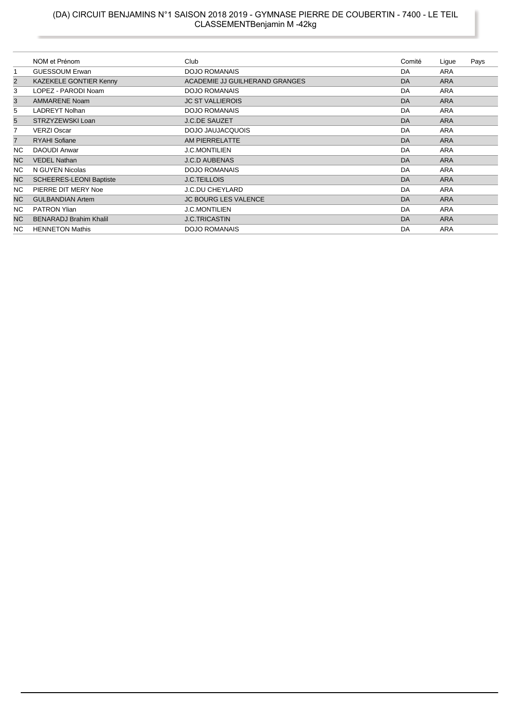#### (DA) CIRCUIT BENJAMINS N°1 SAISON 2018 2019 - GYMNASE PIERRE DE COUBERTIN - 7400 - LE TEIL CLASSEMENTBenjamin M -42kg

|                | NOM et Prénom                  | Club                           | Comité | Ligue      | Pays |
|----------------|--------------------------------|--------------------------------|--------|------------|------|
| $\mathbf{1}$   | <b>GUESSOUM Erwan</b>          | <b>DOJO ROMANAIS</b>           | DA     | <b>ARA</b> |      |
| 2              | <b>KAZEKELE GONTIER Kenny</b>  | ACADEMIE JJ GUILHERAND GRANGES | DA     | <b>ARA</b> |      |
| 3              | LOPEZ - PARODI Noam            | <b>DOJO ROMANAIS</b>           | DA     | ARA        |      |
| 3              | <b>AMMARENE Noam</b>           | <b>JC ST VALLIEROIS</b>        | DA     | <b>ARA</b> |      |
| 5              | <b>LADREYT Nolhan</b>          | <b>DOJO ROMANAIS</b>           | DA     | <b>ARA</b> |      |
| 5              | STRZYZEWSKI Loan               | <b>J.C.DE SAUZET</b>           | DA     | <b>ARA</b> |      |
| 7              | <b>VERZI Oscar</b>             | DOJO JAUJACQUOIS               | DA     | ARA        |      |
| $\overline{7}$ | <b>RYAHI Sofiane</b>           | AM PIERRELATTE                 | DA     | <b>ARA</b> |      |
| NC.            | <b>DAOUDI Anwar</b>            | <b>J.C.MONTILIEN</b>           | DA     | <b>ARA</b> |      |
| <b>NC</b>      | <b>VEDEL Nathan</b>            | <b>J.C.D AUBENAS</b>           | DA     | <b>ARA</b> |      |
| NC.            | N GUYEN Nicolas                | <b>DOJO ROMANAIS</b>           | DA     | <b>ARA</b> |      |
| <b>NC</b>      | <b>SCHEERES-LEONI Baptiste</b> | <b>J.C.TEILLOIS</b>            | DA     | <b>ARA</b> |      |
| NC.            | PIERRE DIT MERY Noe            | <b>J.C.DU CHEYLARD</b>         | DA     | <b>ARA</b> |      |
| <b>NC</b>      | <b>GULBANDIAN Artem</b>        | <b>JC BOURG LES VALENCE</b>    | DA     | <b>ARA</b> |      |
| NC.            | <b>PATRON Ylian</b>            | <b>J.C.MONTILIEN</b>           | DA     | ARA        |      |
| NC             | <b>BENARADJ Brahim Khalil</b>  | <b>J.C.TRICASTIN</b>           | DA     | <b>ARA</b> |      |
| NC.            | <b>HENNETON Mathis</b>         | <b>DOJO ROMANAIS</b>           | DA     | <b>ARA</b> |      |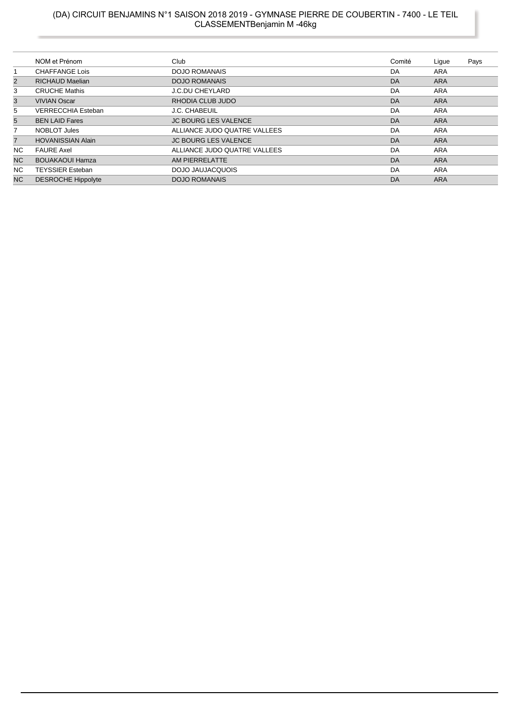### (DA) CIRCUIT BENJAMINS N°1 SAISON 2018 2019 - GYMNASE PIERRE DE COUBERTIN - 7400 - LE TEIL CLASSEMENTBenjamin M -46kg

|                | NOM et Prénom             | Club                         | Comité | Lique      | Pays |
|----------------|---------------------------|------------------------------|--------|------------|------|
|                | <b>CHAFFANGE Lois</b>     | <b>DOJO ROMANAIS</b>         | DA     | ARA        |      |
| $\overline{2}$ | <b>RICHAUD Maelian</b>    | <b>DOJO ROMANAIS</b>         | DA     | <b>ARA</b> |      |
| 3              | <b>CRUCHE Mathis</b>      | <b>J.C.DU CHEYLARD</b>       | DA     | ARA        |      |
| 3              | <b>VIVIAN Oscar</b>       | RHODIA CLUB JUDO             | DA     | <b>ARA</b> |      |
| 5              | <b>VERRECCHIA Esteban</b> | J.C. CHABEUIL                | DA     | ARA        |      |
| 5              | <b>BEN LAID Fares</b>     | <b>JC BOURG LES VALENCE</b>  | DA     | <b>ARA</b> |      |
| 7              | NOBLOT Jules              | ALLIANCE JUDO QUATRE VALLEES | DA     | <b>ARA</b> |      |
| $\overline{7}$ | <b>HOVANISSIAN Alain</b>  | <b>JC BOURG LES VALENCE</b>  | DA     | <b>ARA</b> |      |
| <b>NC</b>      | <b>FAURE Axel</b>         | ALLIANCE JUDO QUATRE VALLEES | DA     | ARA        |      |
| N <sub>C</sub> | <b>BOUAKAOUI Hamza</b>    | AM PIERRELATTE               | DA     | <b>ARA</b> |      |
| NC.            | <b>TEYSSIER Esteban</b>   | DOJO JAUJACQUOIS             | DA     | ARA        |      |
| <b>NC</b>      | <b>DESROCHE Hippolyte</b> | <b>DOJO ROMANAIS</b>         | DA     | <b>ARA</b> |      |
|                |                           |                              |        |            |      |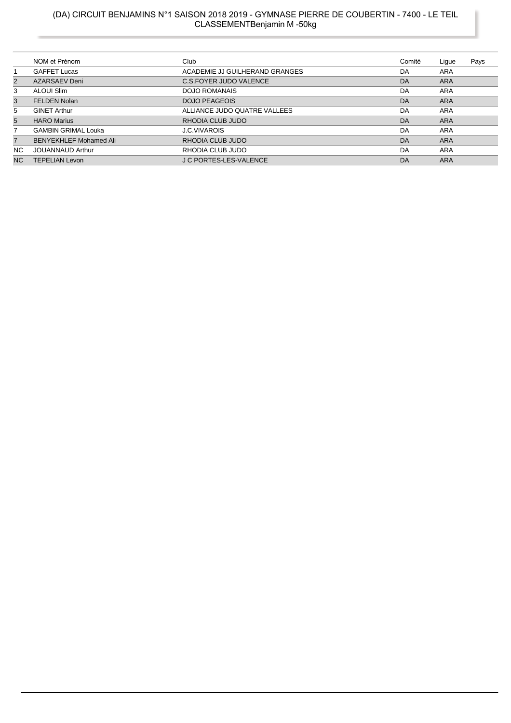### (DA) CIRCUIT BENJAMINS N°1 SAISON 2018 2019 - GYMNASE PIERRE DE COUBERTIN - 7400 - LE TEIL CLASSEMENTBenjamin M -50kg

|                | NOM et Prénom                 | Club                           | Comité | Ligue      | Pays |
|----------------|-------------------------------|--------------------------------|--------|------------|------|
|                | <b>GAFFET Lucas</b>           | ACADEMIE JJ GUILHERAND GRANGES | DA     | ARA        |      |
| $\overline{2}$ | AZARSAEV Deni                 | C.S.FOYER JUDO VALENCE         | DA     | <b>ARA</b> |      |
| 3              | ALOUI Slim                    | <b>DOJO ROMANAIS</b>           | DA     | <b>ARA</b> |      |
| 3              | <b>FELDEN Nolan</b>           | <b>DOJO PEAGEOIS</b>           | DA     | <b>ARA</b> |      |
| 5              | <b>GINET Arthur</b>           | ALLIANCE JUDO QUATRE VALLEES   | DA     | <b>ARA</b> |      |
| 5              | <b>HARO Marius</b>            | RHODIA CLUB JUDO               | DA     | <b>ARA</b> |      |
| 7              | <b>GAMBIN GRIMAL Louka</b>    | <b>J.C.VIVAROIS</b>            | DA     | ARA        |      |
| $\overline{7}$ | <b>BENYEKHLEF Mohamed Ali</b> | RHODIA CLUB JUDO               | DA     | <b>ARA</b> |      |
| NC.            | <b>JOUANNAUD Arthur</b>       | RHODIA CLUB JUDO               | DA     | ARA        |      |
| N <sub>C</sub> | <b>TEPELIAN Levon</b>         | <b>J C PORTES-LES-VALENCE</b>  | DA     | <b>ARA</b> |      |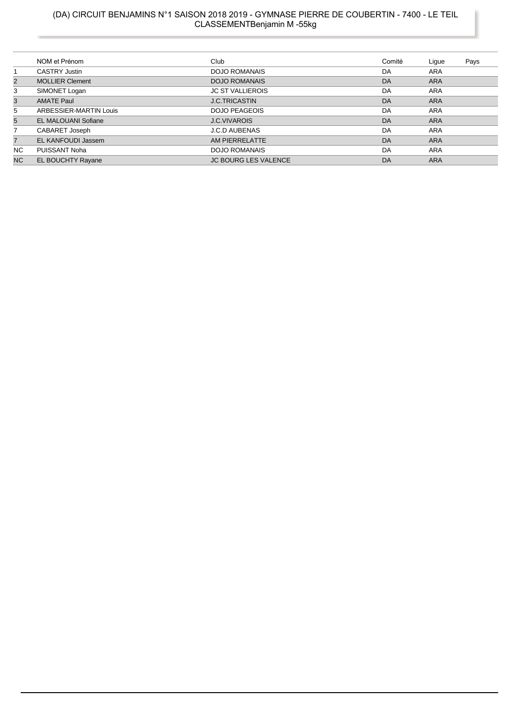### (DA) CIRCUIT BENJAMINS N°1 SAISON 2018 2019 - GYMNASE PIERRE DE COUBERTIN - 7400 - LE TEIL CLASSEMENTBenjamin M -55kg

|                | NOM et Prénom              | Club                        | Comité | Lique      | Pays |
|----------------|----------------------------|-----------------------------|--------|------------|------|
|                | <b>CASTRY Justin</b>       | <b>DOJO ROMANAIS</b>        | DA     | ARA        |      |
| $\overline{2}$ | <b>MOLLIER Clement</b>     | <b>DOJO ROMANAIS</b>        | DA     | <b>ARA</b> |      |
| 3              | SIMONET Logan              | <b>JC ST VALLIEROIS</b>     | DA     | <b>ARA</b> |      |
| 3              | <b>AMATE Paul</b>          | <b>J.C.TRICASTIN</b>        | DA     | <b>ARA</b> |      |
| 5              | ARBESSIER-MARTIN Louis     | <b>DOJO PEAGEOIS</b>        | DA     | <b>ARA</b> |      |
| 5              | <b>EL MALOUANI Sofiane</b> | <b>J.C.VIVAROIS</b>         | DA     | <b>ARA</b> |      |
| $\overline{7}$ | CABARET Joseph             | <b>J.C.D AUBENAS</b>        | DA     | <b>ARA</b> |      |
| $\overline{7}$ | <b>EL KANFOUDI Jassem</b>  | AM PIERRELATTE              | DA     | <b>ARA</b> |      |
| NC.            | PUISSANT Noha              | <b>DOJO ROMANAIS</b>        | DA     | <b>ARA</b> |      |
| N <sub>C</sub> | EL BOUCHTY Rayane          | <b>JC BOURG LES VALENCE</b> | DA     | <b>ARA</b> |      |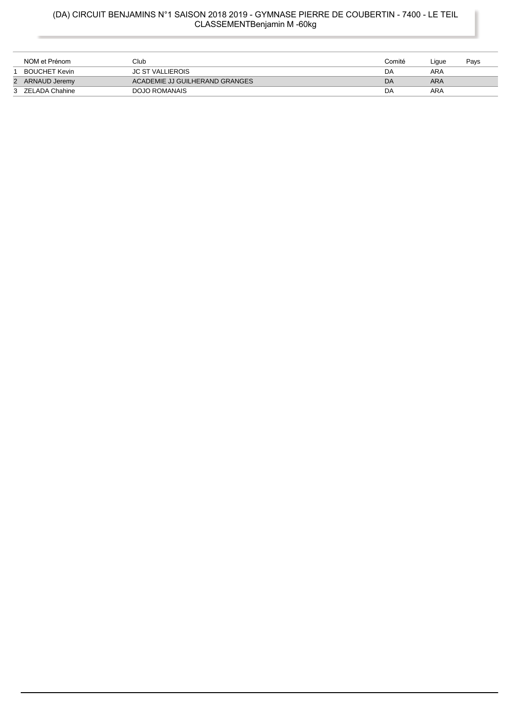### (DA) CIRCUIT BENJAMINS N°1 SAISON 2018 2019 - GYMNASE PIERRE DE COUBERTIN - 7400 - LE TEIL CLASSEMENTBenjamin M -60kg

|   | NOM et Prénom        | Club                           | Comité | Lique | Pays |
|---|----------------------|--------------------------------|--------|-------|------|
|   | <b>BOUCHET Kevin</b> | <b>JC ST VALLIEROIS</b>        | DA     | ARA   |      |
| 2 | ARNAUD Jeremy        | ACADEMIE JJ GUILHERAND GRANGES | DA     | ARA   |      |
|   | 3 ZELADA Chahine     | DOJO ROMANAIS                  | DA     | ARA   |      |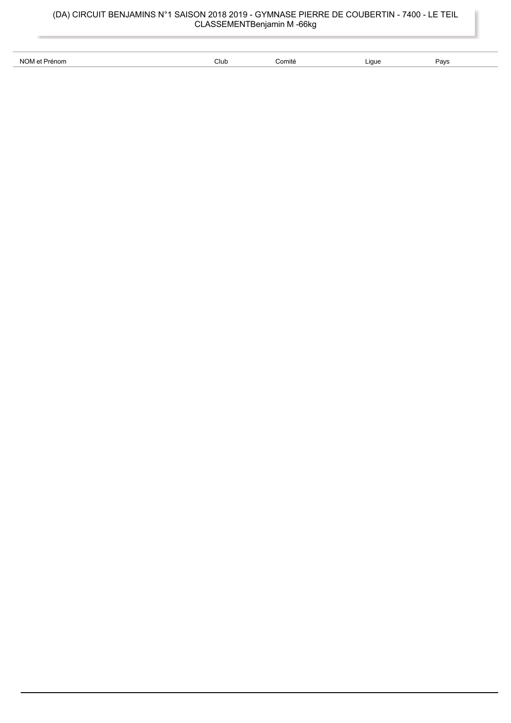| NOM et Prénom | Club<br>$  -$ | $\sim$<br>5omité<br>. | ∟iaue<br>$\cdot$ | Pays |
|---------------|---------------|-----------------------|------------------|------|